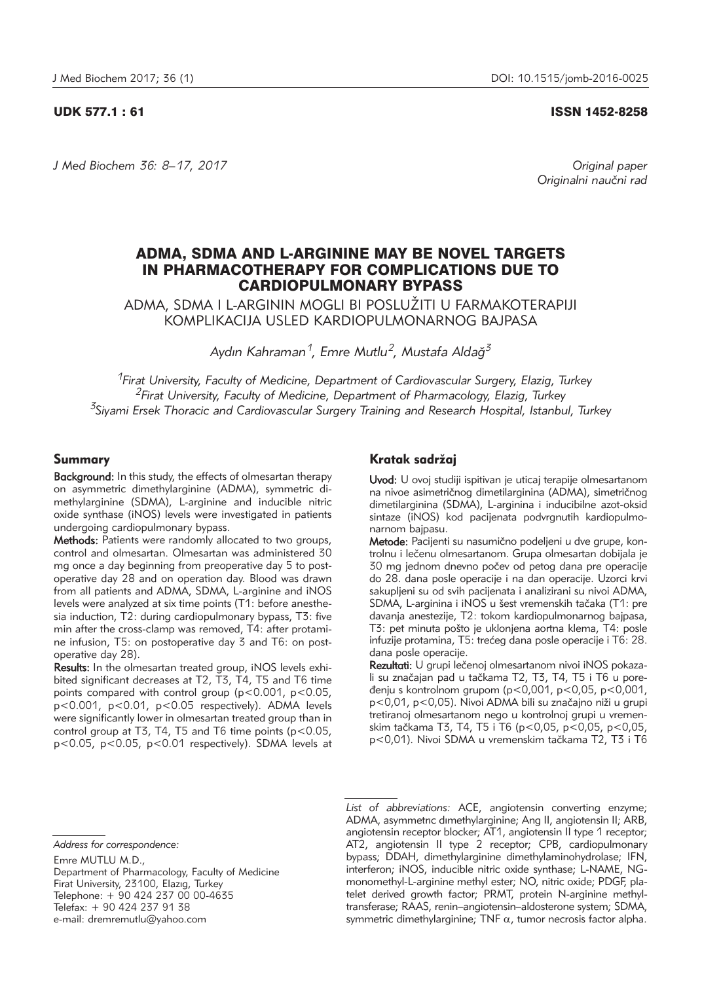#### UDK 577.1 : 61 ISSN 1452-8258

*J Med Biochem 36: 8–17, 2017 Original paper*

Originalni naučni rad

# ADMA, SDMA AND L-ARGININE MAY BE NOVEL TARGETS IN PHARMACOTHERAPY FOR COMPLICATIONS DUE TO CARDIOPULMONARY BYPASS

ADMA, SDMA I L-ARGININ MOGLI BI POSLU@ITI U FARMAKOTERAPIJI KOMPLIKACIJA USLED KARDIOPULMONARNOG BAJPASA

*Aydın Kahraman1, Emre Mutlu2, Mustafa Aldag˘3*

*1Firat University, Faculty of Medicine, Department of Cardiovascular Surgery, Elazig, Turkey 2Firat University, Faculty of Medicine, Department of Pharmacology, Elazig, Turkey 3Siyami Ersek Thoracic and Cardiovascular Surgery Training and Research Hospital, Istanbul, Turkey*

# Summary

Background: In this study, the effects of olmesartan therapy on asymmetric dimethylarginine (ADMA), symmetric dimethylarginine (SDMA), L-arginine and inducible nitric oxide synthase (iNOS) levels were investigated in patients undergoing cardiopulmonary bypass.

Methods: Patients were randomly allocated to two groups, control and olmesartan. Olmesartan was administered 30 mg once a day beginning from preoperative day 5 to postoperative day 28 and on operation day. Blood was drawn from all patients and ADMA, SDMA, L-arginine and iNOS levels were analyzed at six time points (T1: before anesthesia induction, T2: during cardiopulmonary bypass, T3: five min after the cross-clamp was removed, T4: after protamine infusion, T5: on postoperative day 3 and T6: on postoperative day 28).

Results: In the olmesartan treated group, iNOS levels exhibited significant decreases at T2, T3, T4, T5 and T6 time points compared with control group (p<0.001, p<0.05, p<0.001, p<0.01, p<0.05 respectively). ADMA levels were significantly lower in olmesartan treated group than in control group at T3, T4, T5 and T6 time points (p<0.05, p<0.05, p<0.05, p<0.01 respectively). SDMA levels at

# Kratak sadržai

Uvod: U ovoj studiji ispitivan je uticaj terapije olmesartanom na nivoe asimetričnog dimetilarginina (ADMA), simetričnog dimetilarginina (SDMA), L-arginina i inducibilne azot-oksid sintaze (iNOS) kod pacijenata podvrgnutih kardiopulmonarnom bajpasu.

Metode: Pacijenti su nasumično podeljeni u dve grupe, kontrolnu i lečenu olmesartanom. Grupa olmesartan dobijala je 30 mg jednom dnevno počev od petog dana pre operacije do 28. dana posle operacije i na dan operacije. Uzorci krvi sakupljeni su od svih pacijenata i analizirani su nivoi ADMA, SDMA, L-arginina i iNOS u šest vremenskih tačaka (T1: pre davanja anestezije, T2: tokom kardiopulmonarnog baipasa. T3: pet minuta pošto je uklonjena aortna klema, T4: posle infuzije protamina, T5: trećeg dana posle operacije i T6: 28. dana posle operacije.

Rezultati: U grupi lečenoj olmesartanom nivoi iNOS pokazali su značajan pad u tačkama T2, T3, T4, T5 i T6 u poređenju s kontrolnom grupom (p<0,001, p<0,05, p<0,001, p<0,01, p<0,05). Nivoi ADMA bili su značajno niži u grupi tretiranoj olmesartanom nego u kontrolnoj grupi u vremenskim ta~kama T3, T4, T5 i T6 (p<0,05, p<0,05, p<0,05, p<0,01). Nivoi SDMA u vremenskim tačkama T2, T3 i T6

Department of Pharmacology, Faculty of Medicine Firat University, 23100, Elazıg, Turkey Telephone: + 90 424 237 00 00-4635 Telefax: + 90 424 237 91 38

e-mail: dremremutlu@yahoo.com

*List of abbreviations:* ACE, angiotensin converting enzyme; ADMA, asymmetrıc dımethylarginine; Ang II, angiotensin II; ARB, angiotensin receptor blocker; AT1, angiotensin II type 1 receptor; AT2, angiotensin II type 2 receptor; CPB, cardiopulmonary bypass; DDAH, dimethylarginine dimethylaminohydrolase; IFN, interferon; iNOS, inducible nitric oxide synthase; L-NAME, NGmonomethyl-L-arginine methyl ester; NO, nitric oxide; PDGF, platelet derived growth factor; PRMT, protein N-arginine methyltransferase; RAAS, renin–angiotensin–aldosterone system; SDMA, symmetric dimethylarginine; TNF  $\alpha$ , tumor necrosis factor alpha.

*Address for correspondence:* 

Emre MUTLU M.D.,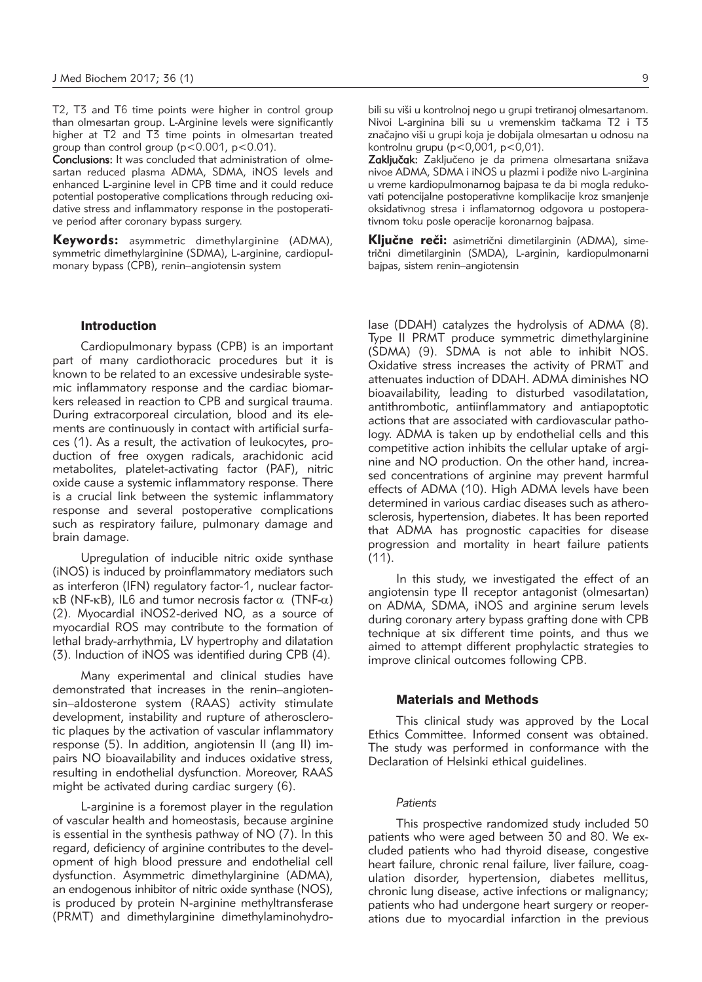T2, T3 and T6 time points were higher in control group than olmesartan group. L-Arginine levels were significantly higher at T2 and T3 time points in olmesartan treated group than control group (p<0.001, p<0.01).

Conclusions: It was concluded that administration of olmesartan reduced plasma ADMA, SDMA, iNOS levels and enhanced L-arginine level in CPB time and it could reduce potential postoperative complications through reducing oxidative stress and inflammatory response in the postoperative period after coronary bypass surgery.

Keywords: asymmetric dimethylarginine (ADMA), symmetric dimethylarginine (SDMA), L-arginine, cardiopulmonary bypass (CPB), renin–angiotensin system

## Introduction

Cardiopulmonary bypass (CPB) is an important part of many cardiothoracic procedures but it is known to be related to an excessive undesirable systemic inflammatory response and the cardiac biomarkers released in reaction to CPB and surgical trauma. During extracorporeal circulation, blood and its elements are continuously in contact with artificial surfaces (1). As a result, the activation of leukocytes, production of free oxygen radicals, arachidonic acid metabolites, platelet-activating factor (PAF), nitric oxide cause a systemic inflammatory response. There is a crucial link between the systemic inflammatory response and several postoperative complications such as respiratory failure, pulmonary damage and brain damage.

Upregulation of inducible nitric oxide synthase (iNOS) is induced by proinflammatory mediators such as interferon (IFN) regulatory factor-1, nuclear factor- $\kappa$ B (NF- $\kappa$ B), IL6 and tumor necrosis factor  $\alpha$  (TNF- $\alpha$ ) (2). Myocardial iNOS2-derived NO, as a source of myocardial ROS may contribute to the formation of lethal brady-arrhythmia, LV hypertrophy and dilatation (3). Induction of iNOS was identified during CPB (4).

Many experimental and clinical studies have demonstrated that increases in the renin-angiotensin–aldosterone system (RAAS) activity stimulate development, instability and rupture of atherosclerotic plaques by the activation of vascular inflammatory response (5). In addition, angiotensin II (ang II) impairs NO bioavailability and induces oxidative stress, resulting in endothelial dysfunction. Moreover, RAAS might be activated during cardiac surgery (6).

L-arginine is a foremost player in the regulation of vascular health and homeostasis, because arginine is essential in the synthesis pathway of NO (7). In this regard, deficiency of arginine contributes to the development of high blood pressure and endothelial cell dysfunction. Asymmetric dimethylarginine (ADMA), an endogenous inhibitor of nitric oxide synthase (NOS), is produced by protein N-arginine methyltransferase (PRMT) and dimethylarginine dimethylaminohydrobili su viši u kontrolnoj nego u grupi tretiranoj olmesartanom. Nivoi L-arginina bili su u vremenskim tačkama T2 i T3 značajno viši u grupi koja je dobijala olmesartan u odnosu na kontrolnu grupu (p<0,001, p<0,01).

Zaključak: Zaključeno je da primena olmesartana snižava nivoe ADMA, SDMA i iNOS u plazmi i podiže nivo L-arginina u vreme kardiopulmonarnog bajpasa te da bi mogla redukovati potencijalne postoperativne komplikacije kroz smanjenje oksidativnog stresa i inflamatornog odgovora u postoperativnom toku posle operacije koronarnog bajpasa.

Ključne reči: asimetrični dimetilarginin (ADMA), simetrični dimetilarginin (SMDA), L-arginin, kardiopulmonarni bajpas, sistem renin–angiotensin

lase (DDAH) catalyzes the hydrolysis of ADMA (8). Type II PRMT produce symmetric dimethylarginine (SDMA) (9). SDMA is not able to inhibit NOS. Oxidative stress increases the activity of PRMT and attenuates induction of DDAH. ADMA diminishes NO bioavailability, leading to disturbed vasodilatation, antithrombotic, antiinflammatory and antiapoptotic actions that are associated with cardiovascular pathology. ADMA is taken up by endothelial cells and this competitive action inhibits the cellular uptake of arginine and NO production. On the other hand, increased concentrations of arginine may prevent harmful effects of ADMA (10). High ADMA levels have been determined in various cardiac diseases such as atherosclerosis, hypertension, diabetes. It has been reported that ADMA has prognostic capacities for disease progression and mortality in heart failure patients  $(11)$ .

In this study, we investigated the effect of an angiotensin type II receptor antagonist (olmesartan) on ADMA, SDMA, iNOS and arginine serum levels during coronary artery bypass grafting done with CPB technique at six different time points, and thus we aimed to attempt different prophylactic strategies to improve clinical outcomes following CPB.

### Materials and Methods

This clinical study was approved by the Local Ethics Committee. Informed consent was obtained. The study was performed in conformance with the Declaration of Helsinki ethical guidelines.

#### *Patients*

This prospective randomized study included 50 patients who were aged between 30 and 80. We excluded patients who had thyroid disease, congestive heart failure, chronic renal failure, liver failure, coagulation disorder, hypertension, diabetes mellitus, chronic lung disease, active infections or malignancy; patients who had undergone heart surgery or reoperations due to myocardial infarction in the previous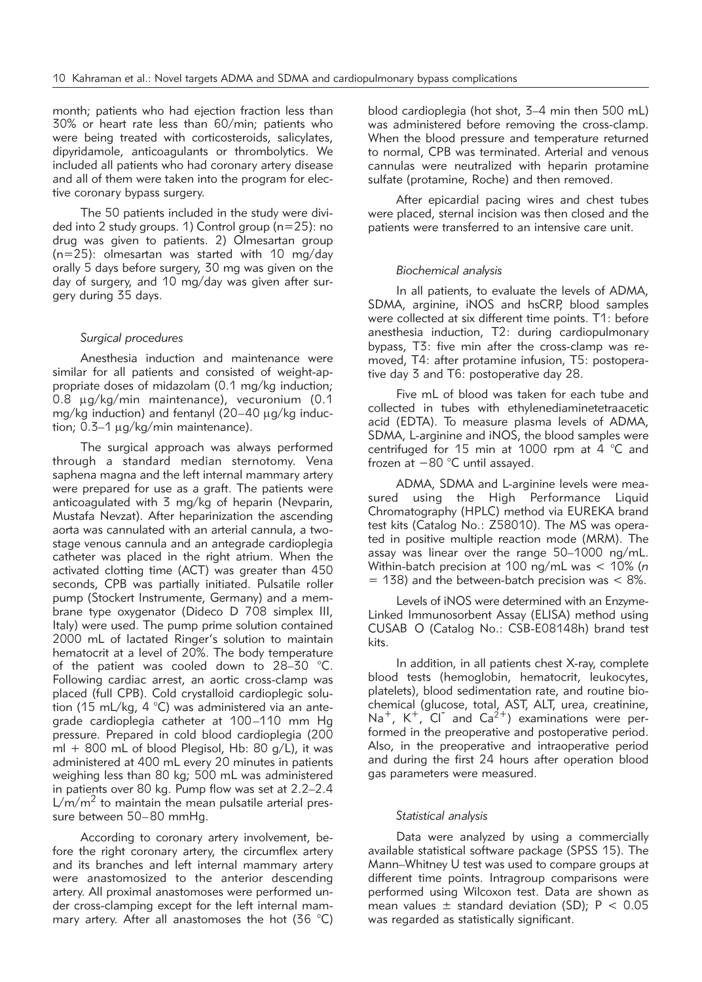month; patients who had ejection fraction less than 30% or heart rate less than 60/min; patients who were being treated with corticosteroids, salicylates, dipyridamole, anticoagulants or thrombolytics. We included all patients who had coronary artery disease and all of them were taken into the program for elective coronary bypass surgery.

The 50 patients included in the study were divided into 2 study groups. 1) Control group (n=25): no drug was given to patients. 2) Olmesartan group (n=25): olmesartan was started with 10 mg/day orally 5 days before surgery, 30 mg was given on the day of surgery, and 10 mg/day was given after surgery during 35 days.

# *Surgical procedures*

Anesthesia induction and maintenance were similar for all patients and consisted of weight-appropriate doses of midazolam (0.1 mg/kg induction; 0.8 mg/kg/min maintenance), vecuronium (0.1 mg/kg induction) and fentanyl (20-40 µg/kg induction;  $0.3-1 \mu q/kg/min$  maintenance).

The surgical approach was always performed through a standard median sternotomy. Vena saphena magna and the left internal mammary artery were prepared for use as a graft. The patients were anticoagulated with 3 mg/kg of heparin (Nevparin, Mustafa Nevzat). After heparinization the ascending aorta was cannulated with an arterial cannula, a twostage venous cannula and an antegrade cardioplegia catheter was placed in the right atrium. When the activated clotting time (ACT) was greater than 450 seconds, CPB was partially initiated. Pulsatile roller pump (Stockert Instrumente, Germany) and a membrane type oxygenator (Dideco D 708 simplex III, Italy) were used. The pump prime solution contained 2000 mL of lactated Ringer's solution to maintain hematocrit at a level of 20%. The body temperature of the patient was cooled down to 28–30 °C. Following cardiac arrest, an aortic cross-clamp was placed (full CPB). Cold crystalloid cardioplegic solution (15 mL/kg, 4 °C) was administered via an antegrade cardioplegia catheter at 100–110 mm Hg pressure. Prepared in cold blood cardioplegia (200 ml  $+$  800 mL of blood Plegisol, Hb: 80 g/L), it was administered at 400 mL every 20 minutes in patients weighing less than 80 kg; 500 mL was administered in patients over 80 kg. Pump flow was set at 2.2–2.4  $L/m/m<sup>2</sup>$  to maintain the mean pulsatile arterial pressure between 50–80 mmHg.

According to coronary artery involvement, before the right coronary artery, the circumflex artery and its branches and left internal mammary artery were anastomosized to the anterior descending artery. All proximal anastomoses were performed un der cross-clamping except for the left internal mammary artery. After all anastomoses the hot (36 °C)

blood cardioplegia (hot shot, 3–4 min then 500 mL) was administered before removing the cross-clamp. When the blood pressure and temperature returned to normal, CPB was terminated. Arterial and venous cannulas were neutralized with heparin protamine sulfate (protamine, Roche) and then removed.

After epicardial pacing wires and chest tubes were placed, sternal incision was then closed and the patients were transferred to an intensive care unit.

# *Biochemical analysis*

In all patients, to evaluate the levels of ADMA, SDMA, arginine, iNOS and hsCRP, blood samples were collected at six different time points. T1: before anesthesia induction, T2: during cardiopulmonary bypass, T3: five min after the cross-clamp was removed, T4: after protamine infusion, T5: postoperative day 3 and T6: postoperative day 28.

Five mL of blood was taken for each tube and collected in tubes with ethylenediaminetetraacetic acid (EDTA). To measure plasma levels of ADMA, SDMA, L-arginine and iNOS, the blood samples were centrifuged for 15 min at 1000 rpm at 4 °C and frozen at −80 °C until assayed.

ADMA, SDMA and L-arginine levels were measured using the High Performance Liquid Chromatography (HPLC) method via EUREKA brand test kits (Catalog No.: Z58010). The MS was operated in positive multiple reaction mode (MRM). The assay was linear over the range 50–1000 ng/mL. Within-batch precision at 100 ng/mL was < 10% (*n*  $= 138$ ) and the between-batch precision was  $< 8\%$ .

Levels of iNOS were determined with an Enzyme-Linked Immunosorbent Assay (ELISA) method using CUSAB O (Catalog No.: CSB-E08148h) brand test kits.

In addition, in all patients chest X-ray, complete blood tests (hemoglobin, hematocrit, leukocytes, platelets), blood sedimentation rate, and routine biochemical (glucose, total, AST, ALT, urea, creatinine, Na<sup>+</sup>, K<sup>+</sup>, Cl<sup>-</sup> and Ca<sup>2+</sup>) examinations were performed in the preoperative and postoperative period. Also, in the preoperative and intraoperative period and during the first 24 hours after operation blood gas parameters were measured.

#### *Statistical analysis*

Data were analyzed by using a commercially available statistical software package (SPSS 15). The Mann–Whitney U test was used to compare groups at different time points. Intragroup comparisons were performed using Wilcoxon test. Data are shown as mean values  $\pm$  standard deviation (SD); P < 0.05 was regarded as statistically significant.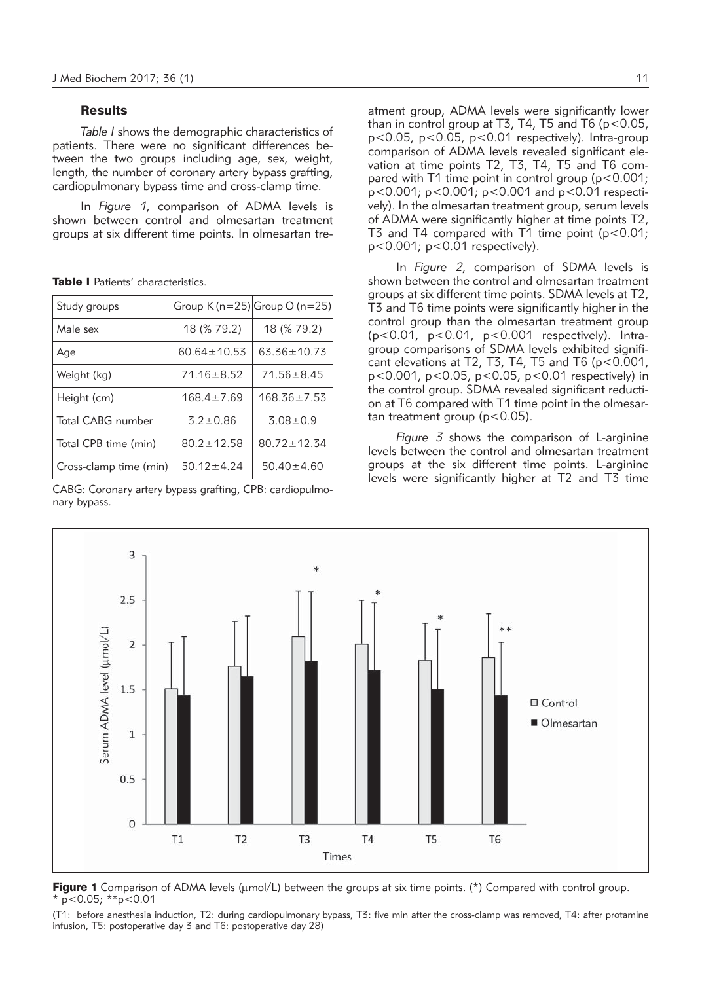#### **Results**

*Table I* shows the demographic characteristics of patients. There were no significant differences between the two groups including age, sex, weight, length, the number of coronary artery bypass grafting, cardiopulmonary bypass time and cross-clamp time.

In *Figure 1*, comparison of ADMA levels is shown between control and olmesartan treatment groups at six different time points. In olmesartan tre-

| Study groups           |                   | Group $K(n=25)$ Group O (n=25) |
|------------------------|-------------------|--------------------------------|
| Male sex               | 18 (% 79.2)       | 18 (% 79.2)                    |
| Age                    | $60.64 \pm 10.53$ | $63.36 \pm 10.73$              |
| Weight (kg)            | $71.16 \pm 8.52$  | $71.56 \pm 8.45$               |
| Height (cm)            | $168.4 \pm 7.69$  | $168.36 \pm 7.53$              |
| Total CABG number      | $3.2 \pm 0.86$    | $3.08 \pm 0.9$                 |
| Total CPB time (min)   | $80.2 \pm 12.58$  | $80.72 \pm 12.34$              |
| Cross-clamp time (min) | $50.12 \pm 4.24$  | $50.40 \pm 4.60$               |

Table I Patients' characteristics.

CABG: Coronary artery bypass grafting, CPB: cardiopulmonary bypass.

atment group, ADMA levels were significantly lower than in control group at T3, T4, T5 and T6 ( $p$  < 0.05, p<0.05, p<0.05, p<0.01 respectively). Intra-group comparison of ADMA levels revealed significant elevation at time points T2, T3, T4, T5 and T6 compared with T1 time point in control group (p<0.001; p<0.001; p<0.001; p<0.001 and p<0.01 respectively). In the olmesartan treatment group, serum levels of ADMA were significantly higher at time points T2, T3 and T4 compared with T1 time point (p<0.01; p<0.001; p<0.01 respectively).

In *Figure 2*, comparison of SDMA levels is shown between the control and olmesartan treatment groups at six different time points. SDMA levels at T2, T3 and T6 time points were significantly higher in the control group than the olmesartan treatment group (p<0.01, p<0.01, p<0.001 respectively). Intragroup comparisons of SDMA levels exhibited significant elevations at T2, T3, T4, T5 and T6 ( $p < 0.001$ , p<0.001, p<0.05, p<0.05, p<0.01 respectively) in the control group. SDMA revealed significant reduction at T6 compared with T1 time point in the olmesartan treatment group ( $p < 0.05$ ).

*Figure 3* shows the comparison of L-arginine levels between the control and olmesartan treatment groups at the six different time points. L-arginine levels were significantly higher at T2 and T3 time



**Figure 1** Comparison of ADMA levels ( $\mu$ mol/L) between the groups at six time points. (\*) Compared with control group.  $*$  p<0.05;  $*$  $*$ p<0.01

(T1: before anesthesia induction, T2: during cardiopulmonary bypass, T3: five min after the cross-clamp was removed, T4: after protamine infusion, T5: postoperative day 3 and T6: postoperative day 28)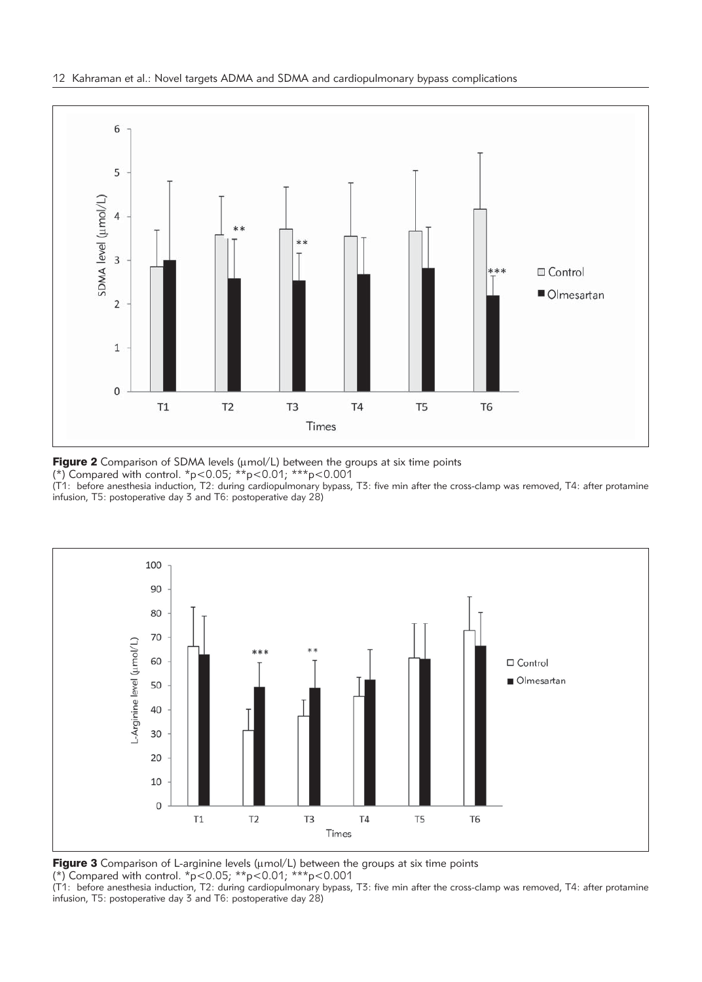

**Figure 2** Comparison of SDMA levels ( $\mu$ mol/L) between the groups at six time points

(\*) Compared with control. \*p<0.05; \*\*p<0.01; \*\*\*p<0.001

(T1: before anesthesia induction, T2: during cardiopulmonary bypass, T3: five min after the cross-clamp was removed, T4: after protamine infusion, T5: postoperative day 3 and T6: postoperative day 28)



**Figure 3** Comparison of L-arginine levels ( $\mu$ mol/L) between the groups at six time points (\*) Compared with control. \*p<0.05; \*\*p<0.01; \*\*\*p<0.001

(T1: before anesthesia induction, T2: during cardiopulmonary bypass, T3: five min after the cross-clamp was removed, T4: after protamine infusion, T5: postoperative day 3 and T6: postoperative day 28)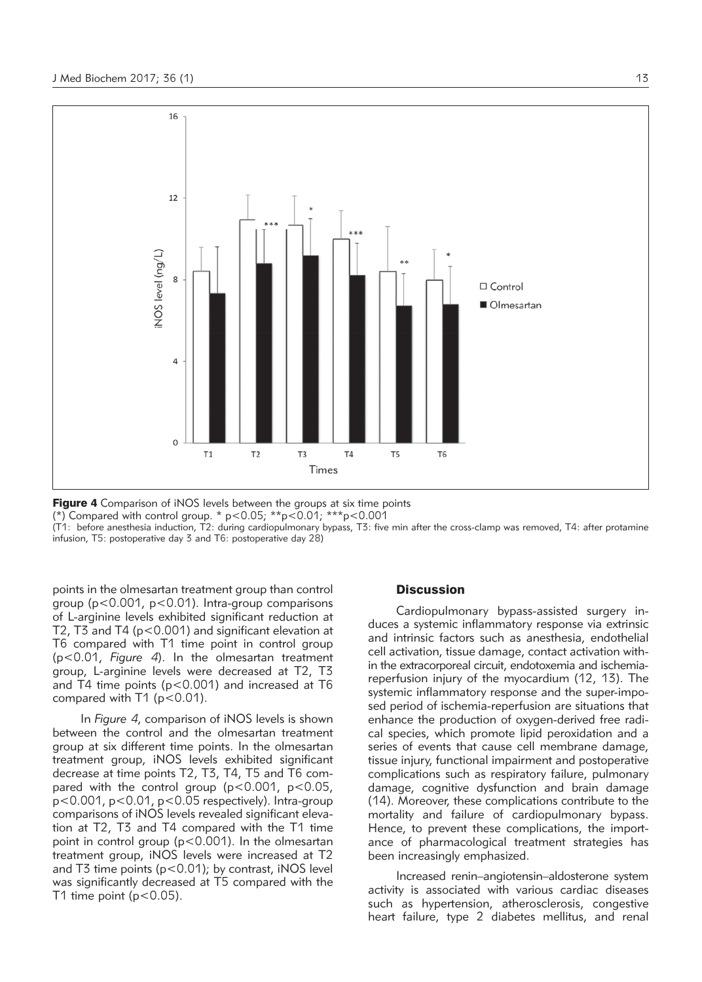

**Figure 4** Comparison of iNOS levels between the groups at six time points

(\*) Compared with control group. \*  $p$ <0.05; \*\* $p$ <0.01; \*\*\* $p$ <0.001

(T1: before anesthesia induction, T2: during cardiopulmonary bypass, T3: five min after the cross-clamp was removed, T4: after protamine infusion, T5: postoperative day 3 and T6: postoperative day 28)

points in the olmesartan treatment group than control group (p<0.001, p<0.01). Intra-group comparisons of L-arginine levels exhibited significant reduction at T2, T3 and T4 (p<0.001) and significant elevation at T6 compared with T1 time point in control group (p<0.01, *Figure 4*). In the olmesartan treatment group, L-arginine levels were decreased at T2, T3 and T4 time points (p<0.001) and increased at T6 compared with T1 (p<0.01).

In *Figure 4*, comparison of iNOS levels is shown between the control and the olmesartan treatment group at six different time points. In the olmesartan treatment group, iNOS levels exhibited significant decrease at time points T2, T3, T4, T5 and T6 compared with the control group (p<0.001, p<0.05, p<0.001, p<0.01, p<0.05 respectively). Intra-group comparisons of iNOS levels revealed significant elevation at T2, T3 and T4 compared with the T1 time point in control group (p<0.001). In the olmesartan treatment group, iNOS levels were increased at T2 and T3 time points (p<0.01); by contrast, iNOS level was significantly decreased at T5 compared with the T1 time point  $(p<0.05)$ .

## **Discussion**

Cardiopulmonary bypass-assisted surgery induces a systemic inflammatory response via extrinsic and intrinsic factors such as anesthesia, endothelial cell activation, tissue damage, contact activation within the extracorporeal circuit, endotoxemia and ischemiareperfusion injury of the myocardium (12, 13). The systemic inflammatory response and the super-imposed period of ischemia-reperfusion are situations that enhance the production of oxygen-derived free radical species, which promote lipid peroxidation and a series of events that cause cell membrane damage, tissue injury, functional impairment and postoperative complications such as respiratory failure, pulmonary damage, cognitive dysfunction and brain damage (14). Moreover, these complications contribute to the mortality and failure of cardiopulmonary bypass. Hence, to prevent these complications, the importance of pharmacological treatment strategies has been increasingly emphasized.

Increased renin–angiotensin–aldosterone system activity is associated with various cardiac diseases such as hypertension, atherosclerosis, congestive heart failure, type 2 diabetes mellitus, and renal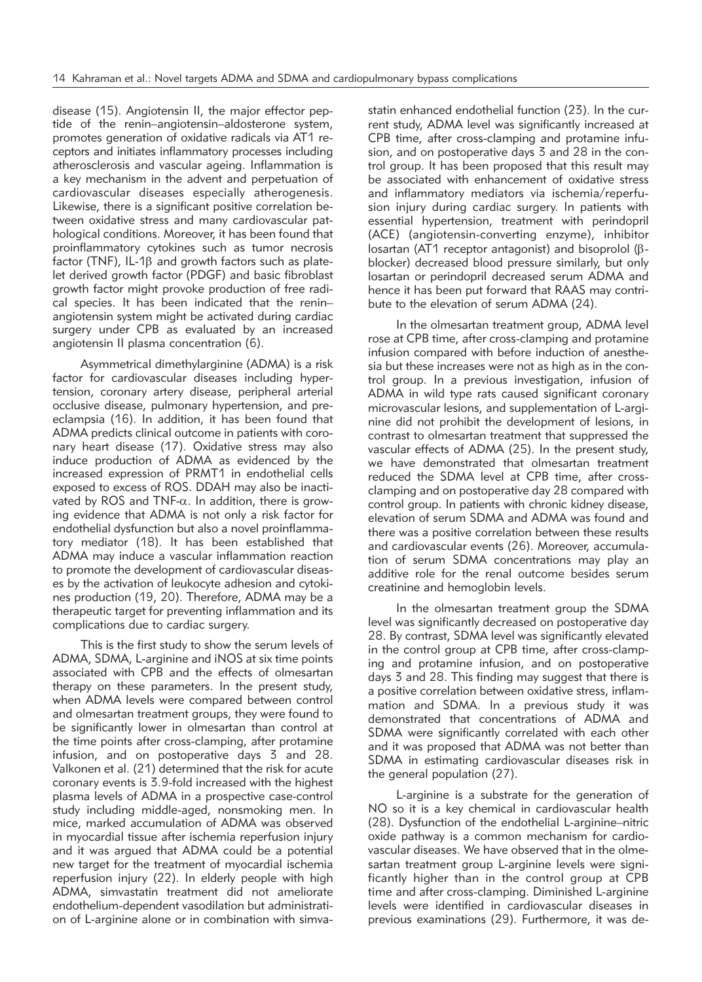disease (15). Angiotensin II, the major effector peptide of the renin–angiotensin–aldosterone system, promotes generation of oxidative radicals via AT1 receptors and initiates inflammatory processes including atherosclerosis and vascular ageing. Inflammation is a key mechanism in the advent and perpetuation of cardiovascular diseases especially atherogenesis. Likewise, there is a significant positive correlation between oxidative stress and many cardiovascular pathological conditions. Moreover, it has been found that proinflammatory cytokines such as tumor necrosis factor (TNF), IL-1b and growth factors such as platelet derived growth factor (PDGF) and basic fibroblast growth factor might provoke production of free radical species. It has been indicated that the reninangiotensin system might be activated during cardiac surgery under CPB as evaluated by an increased angiotensin II plasma concentration (6).

Asymmetrical dimethylarginine (ADMA) is a risk factor for cardiovascular diseases including hypertension, coronary artery disease, peripheral arterial occlusive disease, pulmonary hypertension, and preeclampsia (16). In addition, it has been found that ADMA predicts clinical outcome in patients with coronary heart disease (17). Oxidative stress may also induce production of ADMA as evidenced by the increased expression of PRMT1 in endothelial cells exposed to excess of ROS. DDAH may also be inactivated by ROS and TNF- $\alpha$ . In addition, there is growing evidence that ADMA is not only a risk factor for endothelial dysfunction but also a novel proinflammatory mediator (18). It has been established that ADMA may induce a vascular inflammation reaction to promote the development of cardiovascular diseases by the activation of leukocyte adhesion and cytokines production (19, 20). Therefore, ADMA may be a therapeutic target for preventing inflammation and its complications due to cardiac surgery.

This is the first study to show the serum levels of ADMA, SDMA, L-arginine and iNOS at six time points associated with CPB and the effects of olmesartan therapy on these parameters. In the present study, when ADMA levels were compared between control and olmesartan treatment groups, they were found to be significantly lower in olmesartan than control at the time points after cross-clamping, after protamine infusion, and on postoperative days 3 and 28. Valkonen et al. (21) determined that the risk for acute coronary events is 3.9-fold increased with the highest plasma levels of ADMA in a prospective case-control study including middle-aged, nonsmoking men. In mice, marked accumulation of ADMA was observed in myocardial tissue after ischemia reperfusion injury and it was argued that ADMA could be a potential new target for the treatment of myocardial ischemia reperfusion injury (22). In elderly people with high ADMA, simvastatin treatment did not ameliorate endothelium-dependent vasodilation but administration of L-arginine alone or in combination with simvastatin enhanced endothelial function (23). In the current study, ADMA level was significantly increased at CPB time, after cross-clamping and protamine infusion, and on postoperative days 3 and 28 in the control group. It has been proposed that this result may be associated with enhancement of oxidative stress and inflammatory mediators via ischemia/reperfusion injury during cardiac surgery. In patients with essential hypertension, treatment with perindopril (ACE) (angiotensin-converting enzyme), inhibitor losartan (AT1 receptor antagonist) and bisoprolol (bblocker) decreased blood pressure similarly, but only losartan or perindopril decreased serum ADMA and hence it has been put forward that RAAS may contribute to the elevation of serum ADMA (24).

In the olmesartan treatment group, ADMA level rose at CPB time, after cross-clamping and protamine infusion compared with before induction of anesthesia but these increases were not as high as in the control group. In a previous investigation, infusion of ADMA in wild type rats caused significant coronary microvascular lesions, and supplementation of L-arginine did not prohibit the development of lesions, in contrast to olmesartan treatment that suppressed the vascular effects of ADMA (25). In the present study, we have demonstrated that olmesartan treatment reduced the SDMA level at CPB time, after crossclamping and on postoperative day 28 compared with control group. In patients with chronic kidney disease, elevation of serum SDMA and ADMA was found and there was a positive correlation between these results and cardiovascular events (26). Moreover, accumulation of serum SDMA concentrations may play an additive role for the renal outcome besides serum creatinine and hemoglobin levels.

In the olmesartan treatment group the SDMA level was significantly decreased on postoperative day 28. By contrast, SDMA level was significantly elevated in the control group at CPB time, after cross-clamping and protamine infusion, and on postoperative days 3 and 28. This finding may suggest that there is a positive correlation between oxidative stress, inflammation and SDMA. In a previous study it was demonstrated that concentrations of ADMA and SDMA were significantly correlated with each other and it was proposed that ADMA was not better than SDMA in estimating cardiovascular diseases risk in the general population (27).

L-arginine is a substrate for the generation of NO so it is a key chemical in cardiovascular health (28). Dysfunction of the endothelial L-arginine–nitric oxide pathway is a common mechanism for cardiovascular diseases. We have observed that in the olmesartan treatment group L-arginine levels were significantly higher than in the control group at CPB time and after cross-clamping. Diminished L-arginine levels were identified in cardiovascular diseases in previous examinations (29). Furthermore, it was de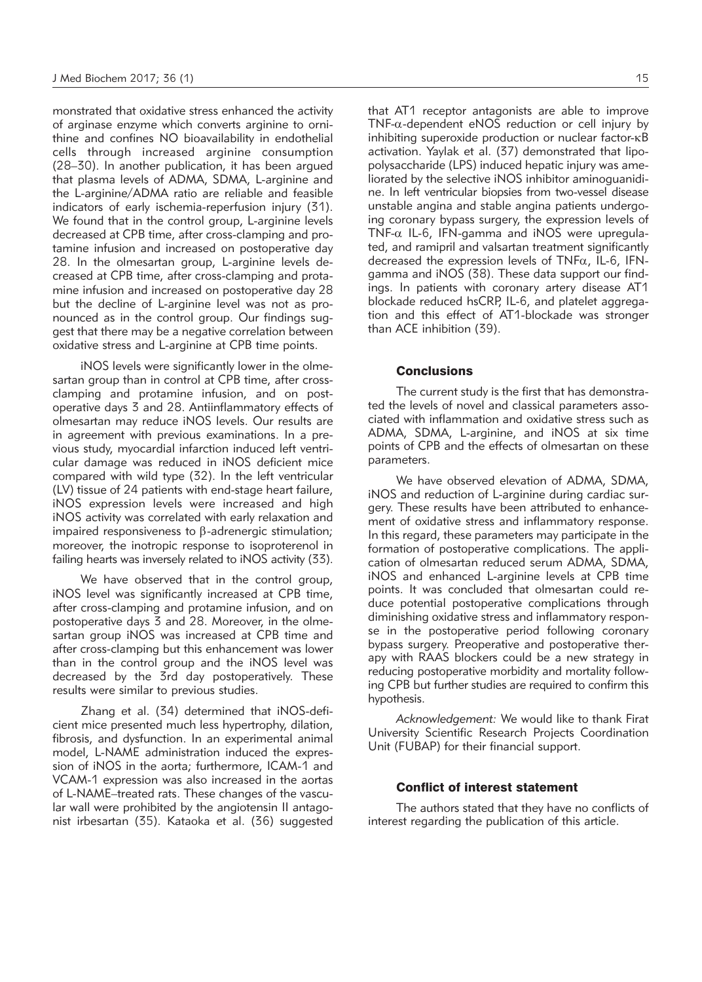monstrated that oxidative stress enhanced the activity of arginase enzyme which converts arginine to ornithine and confines NO bioavailability in endothelial cells through increased arginine consumption (28–30). In another publication, it has been argued that plasma levels of ADMA, SDMA, L-arginine and the L-arginine/ADMA ratio are reliable and feasible indicators of early ischemia-reperfusion injury (31). We found that in the control group, L-arginine levels decreased at CPB time, after cross-clamping and protamine infusion and increased on postoperative day 28. In the olmesartan group, L-arginine levels decreased at CPB time, after cross-clamping and protamine infusion and increased on postoperative day 28 but the decline of L-arginine level was not as pronounced as in the control group. Our findings suggest that there may be a negative correlation between oxidative stress and L-arginine at CPB time points.

iNOS levels were significantly lower in the olmesartan group than in control at CPB time, after crossclamping and protamine infusion, and on postoperative days 3 and 28. Antiinflammatory effects of olmesartan may reduce iNOS levels. Our results are in agreement with previous examinations. In a previous study, myocardial infarction induced left ventricular damage was reduced in iNOS deficient mice compared with wild type (32). In the left ventricular (LV) tissue of 24 patients with end-stage heart failure, iNOS expression levels were increased and high iNOS activity was correlated with early relaxation and impaired responsiveness to  $\beta$ -adrenergic stimulation; moreover, the inotropic response to isoproterenol in failing hearts was inversely related to iNOS activity (33).

We have observed that in the control group, iNOS level was significantly increased at CPB time, after cross-clamping and protamine infusion, and on postoperative days 3 and 28. Moreover, in the olmesartan group iNOS was increased at CPB time and after cross-clamping but this enhancement was lower than in the control group and the iNOS level was decreased by the 3rd day postoperatively. These results were similar to previous studies.

Zhang et al. (34) determined that iNOS-deficient mice presented much less hypertrophy, dilation, fibrosis, and dysfunction. In an experimental animal model, L-NAME administration induced the expression of iNOS in the aorta; furthermore, ICAM-1 and VCAM-1 expression was also increased in the aortas of L-NAME–treated rats. These changes of the vascular wall were prohibited by the angiotensin II antagonist irbesartan (35). Kataoka et al. (36) suggested that AT1 receptor antagonists are able to improve TNF- $\alpha$ -dependent eNOS reduction or cell injury by inhibiting superoxide production or nuclear factor- $\kappa$ B activation. Yaylak et al. (37) demonstrated that lipopolysaccharide (LPS) induced hepatic injury was ameliorated by the selective iNOS inhibitor aminoguanidine. In left ventricular biopsies from two-vessel disease unstable angina and stable angina patients undergoing coronary bypass surgery, the expression levels of TNF- $\alpha$  IL-6, IFN-gamma and iNOS were upregulated, and ramipril and valsartan treatment significantly decreased the expression levels of TNF $\alpha$ , IL-6, IFNgamma and iNOS (38). These data support our findings. In patients with coronary artery disease AT1 blockade reduced hsCRP, IL-6, and platelet aggregation and this effect of AT1-blockade was stronger than ACE inhibition (39).

# **Conclusions**

The current study is the first that has demonstrated the levels of novel and classical parameters associated with inflammation and oxidative stress such as ADMA, SDMA, L-arginine, and iNOS at six time points of CPB and the effects of olmesartan on these parameters.

We have observed elevation of ADMA, SDMA, iNOS and reduction of L-arginine during cardiac surgery. These results have been attributed to enhancement of oxidative stress and inflammatory response. In this regard, these parameters may participate in the formation of postoperative complications. The application of olmesartan reduced serum ADMA, SDMA, iNOS and enhanced L-arginine levels at CPB time points. It was concluded that olmesartan could reduce potential postoperative complications through diminishing oxidative stress and inflammatory response in the postoperative period following coronary bypass surgery. Preoperative and postoperative therapy with RAAS blockers could be a new strategy in reducing postoperative morbidity and mortality following CPB but further studies are required to confirm this hypothesis.

*Acknowledgement:* We would like to thank Firat University Scientific Research Projects Coordination Unit (FUBAP) for their financial support.

## Conflict of interest statement

The authors stated that they have no conflicts of interest regarding the publication of this article.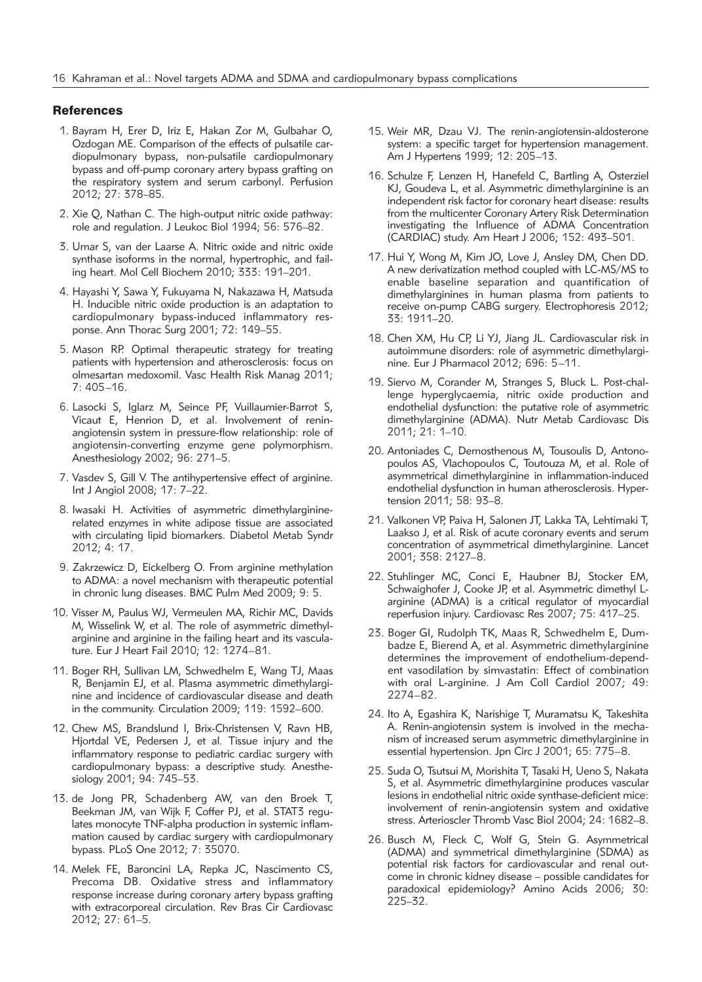#### **References**

- 1. Bayram H, Erer D, Iriz E, Hakan Zor M, Gulbahar O, Ozdogan ME. Comparison of the effects of pulsatile cardiopulmonary bypass, non-pulsatile cardiopulmonary bypass and off-pump coronary artery bypass grafting on the respiratory system and serum carbonyl. Perfusion 2012; 27: 378–85.
- 2. Xie Q, Nathan C. The high-output nitric oxide pathway: role and regulation. J Leukoc Biol 1994; 56: 576–82.
- 3. Umar S, van der Laarse A. Nitric oxide and nitric oxide synthase isoforms in the normal, hypertrophic, and failing heart. Mol Cell Biochem 2010; 333: 191–201.
- 4. Hayashi Y, Sawa Y, Fukuyama N, Nakazawa H, Matsuda H. Inducible nitric oxide production is an adaptation to cardiopulmonary bypass-induced inflammatory response. Ann Thorac Surg 2001; 72: 149–55.
- 5. Mason RP. Optimal therapeutic strategy for treating patients with hypertension and atherosclerosis: focus on olmesartan medoxomil. Vasc Health Risk Manag 2011; 7: 405–16.
- 6. Lasocki S, Iglarz M, Seince PF, Vuillaumier-Barrot S, Vicaut E, Henrion D, et al. Involvement of reninangiotensin system in pressure-flow relationship: role of angiotensin-converting enzyme gene polymorphism. Anesthesiology 2002; 96: 271–5.
- 7. Vasdev S, Gill V. The antihypertensive effect of arginine. Int J Angiol 2008; 17: 7–22.
- 8. Iwasaki H. Activities of asymmetric dimethylargininerelated enzymes in white adipose tissue are associated with circulating lipid biomarkers. Diabetol Metab Syndr 2012; 4: 17.
- 9. Zakrzewicz D, Eickelberg O. From arginine methylation to ADMA: a novel mechanism with therapeutic potential in chronic lung diseases. BMC Pulm Med 2009; 9: 5.
- 10. Visser M, Paulus WJ, Vermeulen MA, Richir MC, Davids M, Wisselink W, et al. The role of asymmetric dimethylarginine and arginine in the failing heart and its vasculature. Eur J Heart Fail 2010; 12: 1274–81.
- 11. Boger RH, Sullivan LM, Schwedhelm E, Wang TJ, Maas R, Benjamin EJ, et al. Plasma asymmetric dimethylarginine and incidence of cardiovascular disease and death in the community. Circulation 2009; 119: 1592–600.
- 12. Chew MS, Brandslund I, Brix-Christensen V, Ravn HB, Hjortdal VE, Pedersen J, et al. Tissue injury and the inflammatory response to pediatric cardiac surgery with cardiopulmonary bypass: a descriptive study. Anesthesiology 2001; 94: 745–53.
- 13. de Jong PR, Schadenberg AW, van den Broek T, Beekman JM, van Wijk F, Coffer PJ, et al. STAT3 regulates monocyte TNF-alpha production in systemic inflammation caused by cardiac surgery with cardiopulmonary bypass. PLoS One 2012; 7: 35070.
- 14. Melek FE, Baroncini LA, Repka JC, Nascimento CS, Precoma DB. Oxidative stress and inflammatory response increase during coronary artery bypass grafting with extracorporeal circulation. Rev Bras Cir Cardiovasc 2012; 27: 61–5.
- 15. Weir MR, Dzau VJ. The renin-angiotensin-aldosterone system: a specific target for hypertension management. Am J Hypertens 1999; 12: 205–13.
- 16. Schulze F, Lenzen H, Hanefeld C, Bartling A, Osterziel KJ, Goudeva L, et al. Asymmetric dimethylarginine is an independent risk factor for coronary heart disease: results from the multicenter Coronary Artery Risk Determination investigating the Influence of ADMA Concentration (CARDIAC) study. Am Heart J 2006; 152: 493–501.
- 17. Hui Y, Wong M, Kim JO, Love J, Ansley DM, Chen DD. A new derivatization method coupled with LC-MS/MS to enable baseline separation and quantification of dimethylarginines in human plasma from patients to receive on-pump CABG surgery. Electrophoresis 2012; 33: 1911–20.
- 18. Chen XM, Hu CP, Li YJ, Jiang JL. Cardiovascular risk in autoimmune disorders: role of asymmetric dimethylarginine. Eur J Pharmacol 2012; 696: 5–11.
- 19. Siervo M, Corander M, Stranges S, Bluck L. Post-challenge hyperglycaemia, nitric oxide production and endothelial dysfunction: the putative role of asymmetric dimethylarginine (ADMA). Nutr Metab Cardiovasc Dis 2011; 21: 1–10.
- 20. Antoniades C, Demosthenous M, Tousoulis D, Antonopoulos AS, Vlachopoulos C, Toutouza M, et al. Role of asymmetrical dimethylarginine in inflammation-induced endothelial dysfunction in human atherosclerosis. Hypertension 2011; 58: 93–8.
- 21. Valkonen VP, Paiva H, Salonen JT, Lakka TA, Lehtimaki T, Laakso J, et al. Risk of acute coronary events and serum concentration of asymmetrical dimethylarginine. Lancet 2001; 358: 2127–8.
- 22. Stuhlinger MC, Conci E, Haubner BJ, Stocker EM, Schwaighofer J, Cooke JP, et al. Asymmetric dimethyl Larginine (ADMA) is a critical regulator of myocardial reperfusion injury. Cardiovasc Res 2007; 75: 417–25.
- 23. Boger GI, Rudolph TK, Maas R, Schwedhelm E, Dumbadze E, Bierend A, et al. Asymmetric dimethylarginine determines the improvement of endothelium-dependent vasodilation by simvastatin: Effect of combination with oral L-arginine. J Am Coll Cardiol 2007; 49: 2274–82.
- 24. Ito A, Egashira K, Narishige T, Muramatsu K, Takeshita A. Renin-angiotensin system is involved in the mechanism of increased serum asymmetric dimethylarginine in essential hypertension. Jpn Circ J 2001; 65: 775–8.
- 25. Suda O, Tsutsui M, Morishita T, Tasaki H, Ueno S, Nakata S, et al. Asymmetric dimethylarginine produces vascular lesions in endothelial nitric oxide synthase-deficient mice: involvement of renin-angiotensin system and oxidative stress. Arterioscler Thromb Vasc Biol 2004; 24: 1682–8.
- 26. Busch M, Fleck C, Wolf G, Stein G. Asymmetrical (ADMA) and symmetrical dimethylarginine (SDMA) as potential risk factors for cardiovascular and renal outcome in chronic kidney disease – possible candidates for paradoxical epidemiology? Amino Acids 2006; 30: 225–32.